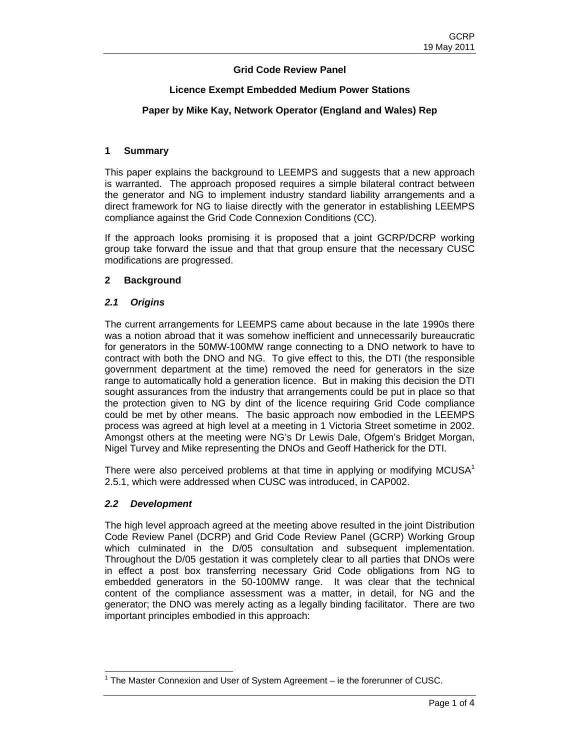# **Grid Code Review Panel**

# **Licence Exempt Embedded Medium Power Stations**

# **Paper by Mike Kay, Network Operator (England and Wales) Rep**

#### **1 Summary**

This paper explains the background to LEEMPS and suggests that a new approach is warranted. The approach proposed requires a simple bilateral contract between the generator and NG to implement industry standard liability arrangements and a direct framework for NG to liaise directly with the generator in establishing LEEMPS compliance against the Grid Code Connexion Conditions (CC).

If the approach looks promising it is proposed that a joint GCRP/DCRP working group take forward the issue and that that group ensure that the necessary CUSC modifications are progressed.

### **2 Background**

### *2.1 Origins*

The current arrangements for LEEMPS came about because in the late 1990s there was a notion abroad that it was somehow inefficient and unnecessarily bureaucratic for generators in the 50MW-100MW range connecting to a DNO network to have to contract with both the DNO and NG. To give effect to this, the DTI (the responsible government department at the time) removed the need for generators in the size range to automatically hold a generation licence. But in making this decision the DTI sought assurances from the industry that arrangements could be put in place so that the protection given to NG by dint of the licence requiring Grid Code compliance could be met by other means. The basic approach now embodied in the LEEMPS process was agreed at high level at a meeting in 1 Victoria Street sometime in 2002. Amongst others at the meeting were NG's Dr Lewis Dale, Ofgem's Bridget Morgan, Nigel Turvey and Mike representing the DNOs and Geoff Hatherick for the DTI.

There were also perceived problems at that time in applying or modifying MCUSA<sup>1</sup> 2.5.1, which were addressed when CUSC was introduced, in CAP002.

### *2.2 Development*

The high level approach agreed at the meeting above resulted in the joint Distribution Code Review Panel (DCRP) and Grid Code Review Panel (GCRP) Working Group which culminated in the D/05 consultation and subsequent implementation. Throughout the D/05 gestation it was completely clear to all parties that DNOs were in effect a post box transferring necessary Grid Code obligations from NG to embedded generators in the 50-100MW range. It was clear that the technical content of the compliance assessment was a matter, in detail, for NG and the generator; the DNO was merely acting as a legally binding facilitator. There are two important principles embodied in this approach:

 $\overline{a}$  $1$  The Master Connexion and User of System Agreement – ie the forerunner of CUSC.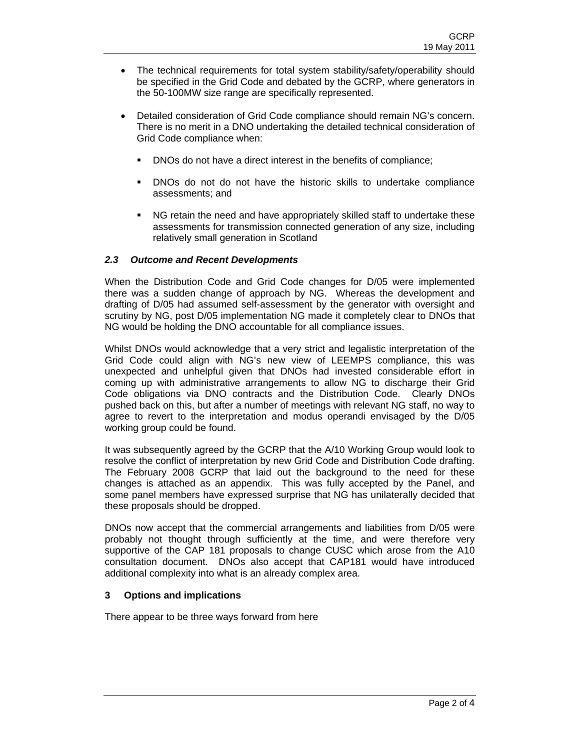- The technical requirements for total system stability/safety/operability should be specified in the Grid Code and debated by the GCRP, where generators in the 50-100MW size range are specifically represented.
- Detailed consideration of Grid Code compliance should remain NG's concern. There is no merit in a DNO undertaking the detailed technical consideration of Grid Code compliance when:
	- DNOs do not have a direct interest in the benefits of compliance;
	- DNOs do not do not have the historic skills to undertake compliance assessments; and
	- NG retain the need and have appropriately skilled staff to undertake these assessments for transmission connected generation of any size, including relatively small generation in Scotland

### *2.3 Outcome and Recent Developments*

When the Distribution Code and Grid Code changes for D/05 were implemented there was a sudden change of approach by NG. Whereas the development and drafting of D/05 had assumed self-assessment by the generator with oversight and scrutiny by NG, post D/05 implementation NG made it completely clear to DNOs that NG would be holding the DNO accountable for all compliance issues.

Whilst DNOs would acknowledge that a very strict and legalistic interpretation of the Grid Code could align with NG's new view of LEEMPS compliance, this was unexpected and unhelpful given that DNOs had invested considerable effort in coming up with administrative arrangements to allow NG to discharge their Grid Code obligations via DNO contracts and the Distribution Code. Clearly DNOs pushed back on this, but after a number of meetings with relevant NG staff, no way to agree to revert to the interpretation and modus operandi envisaged by the D/05 working group could be found.

It was subsequently agreed by the GCRP that the A/10 Working Group would look to resolve the conflict of interpretation by new Grid Code and Distribution Code drafting. The February 2008 GCRP that laid out the background to the need for these changes is attached as an appendix. This was fully accepted by the Panel, and some panel members have expressed surprise that NG has unilaterally decided that these proposals should be dropped.

DNOs now accept that the commercial arrangements and liabilities from D/05 were probably not thought through sufficiently at the time, and were therefore very supportive of the CAP 181 proposals to change CUSC which arose from the A10 consultation document. DNOs also accept that CAP181 would have introduced additional complexity into what is an already complex area.

### **3 Options and implications**

There appear to be three ways forward from here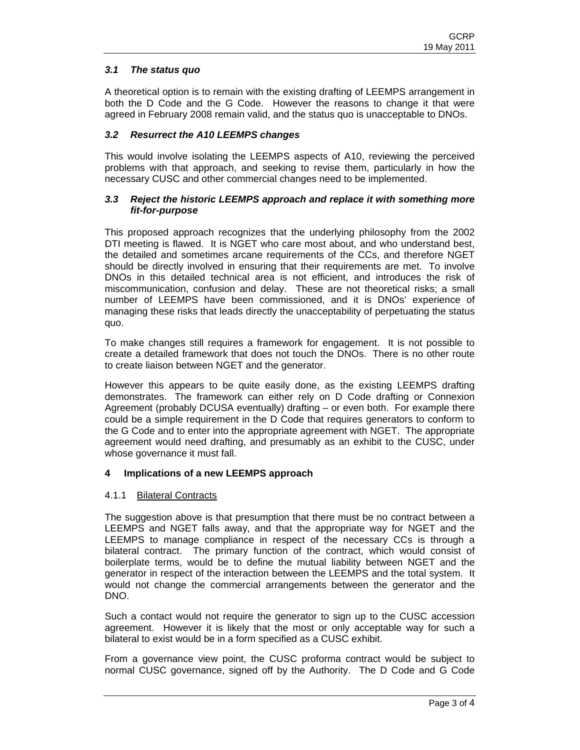# *3.1 The status quo*

A theoretical option is to remain with the existing drafting of LEEMPS arrangement in both the D Code and the G Code. However the reasons to change it that were agreed in February 2008 remain valid, and the status quo is unacceptable to DNOs.

### *3.2 Resurrect the A10 LEEMPS changes*

This would involve isolating the LEEMPS aspects of A10, reviewing the perceived problems with that approach, and seeking to revise them, particularly in how the necessary CUSC and other commercial changes need to be implemented.

#### *3.3 Reject the historic LEEMPS approach and replace it with something more fit-for-purpose*

This proposed approach recognizes that the underlying philosophy from the 2002 DTI meeting is flawed. It is NGET who care most about, and who understand best, the detailed and sometimes arcane requirements of the CCs, and therefore NGET should be directly involved in ensuring that their requirements are met. To involve DNOs in this detailed technical area is not efficient, and introduces the risk of miscommunication, confusion and delay. These are not theoretical risks; a small number of LEEMPS have been commissioned, and it is DNOs' experience of managing these risks that leads directly the unacceptability of perpetuating the status quo.

To make changes still requires a framework for engagement. It is not possible to create a detailed framework that does not touch the DNOs. There is no other route to create liaison between NGET and the generator.

However this appears to be quite easily done, as the existing LEEMPS drafting demonstrates. The framework can either rely on D Code drafting or Connexion Agreement (probably DCUSA eventually) drafting – or even both. For example there could be a simple requirement in the D Code that requires generators to conform to the G Code and to enter into the appropriate agreement with NGET. The appropriate agreement would need drafting, and presumably as an exhibit to the CUSC, under whose governance it must fall.

### **4 Implications of a new LEEMPS approach**

### 4.1.1 Bilateral Contracts

The suggestion above is that presumption that there must be no contract between a LEEMPS and NGET falls away, and that the appropriate way for NGET and the LEEMPS to manage compliance in respect of the necessary CCs is through a bilateral contract. The primary function of the contract, which would consist of boilerplate terms, would be to define the mutual liability between NGET and the generator in respect of the interaction between the LEEMPS and the total system. It would not change the commercial arrangements between the generator and the DNO.

Such a contact would not require the generator to sign up to the CUSC accession agreement. However it is likely that the most or only acceptable way for such a bilateral to exist would be in a form specified as a CUSC exhibit.

From a governance view point, the CUSC proforma contract would be subject to normal CUSC governance, signed off by the Authority. The D Code and G Code